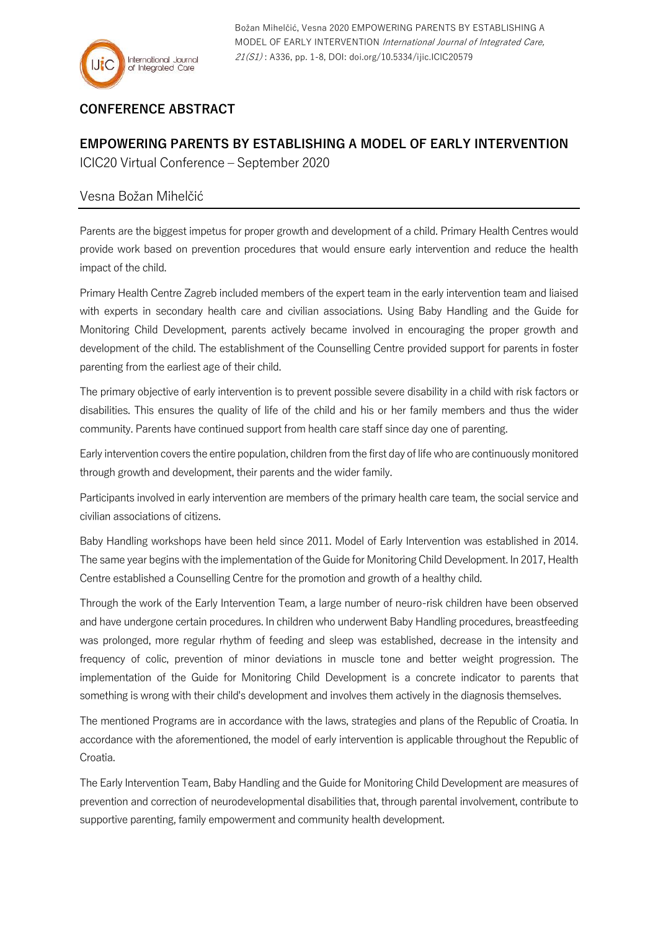

## **CONFERENCE ABSTRACT**

## **EMPOWERING PARENTS BY ESTABLISHING A MODEL OF EARLY INTERVENTION** ICIC20 Virtual Conference – September 2020

## Vesna Božan Mihelčić

Parents are the biggest impetus for proper growth and development of a child. Primary Health Centres would provide work based on prevention procedures that would ensure early intervention and reduce the health impact of the child.

Primary Health Centre Zagreb included members of the expert team in the early intervention team and liaised with experts in secondary health care and civilian associations. Using Baby Handling and the Guide for Monitoring Child Development, parents actively became involved in encouraging the proper growth and development of the child. The establishment of the Counselling Centre provided support for parents in foster parenting from the earliest age of their child.

The primary objective of early intervention is to prevent possible severe disability in a child with risk factors or disabilities. This ensures the quality of life of the child and his or her family members and thus the wider community. Parents have continued support from health care staff since day one of parenting.

Early intervention covers the entire population, children from the first day of lifewho are continuously monitored through growth and development, their parents and the wider family.

Participants involved in early intervention are members of the primary health care team, the social service and civilian associations of citizens.

Baby Handling workshops have been held since 2011. Model of Early Intervention was established in 2014. The same year begins with the implementation of the Guide for Monitoring Child Development. In 2017, Health Centre established a Counselling Centre for the promotion and growth of a healthy child.

Through the work of the Early Intervention Team, a large number of neuro-risk children have been observed and have undergone certain procedures. In children who underwent Baby Handling procedures, breastfeeding was prolonged, more regular rhythm of feeding and sleep was established, decrease in the intensity and frequency of colic, prevention of minor deviations in muscle tone and better weight progression. The implementation of the Guide for Monitoring Child Development is a concrete indicator to parents that something is wrong with their child's development and involves them actively in the diagnosis themselves.

The mentioned Programs are in accordance with the laws, strategies and plans of the Republic of Croatia. In accordance with the aforementioned, the model of early intervention is applicable throughout the Republic of Croatia.

The Early Intervention Team, Baby Handling and the Guide for Monitoring Child Development are measures of prevention and correction of neurodevelopmental disabilities that, through parental involvement, contribute to supportive parenting, family empowerment and community health development.